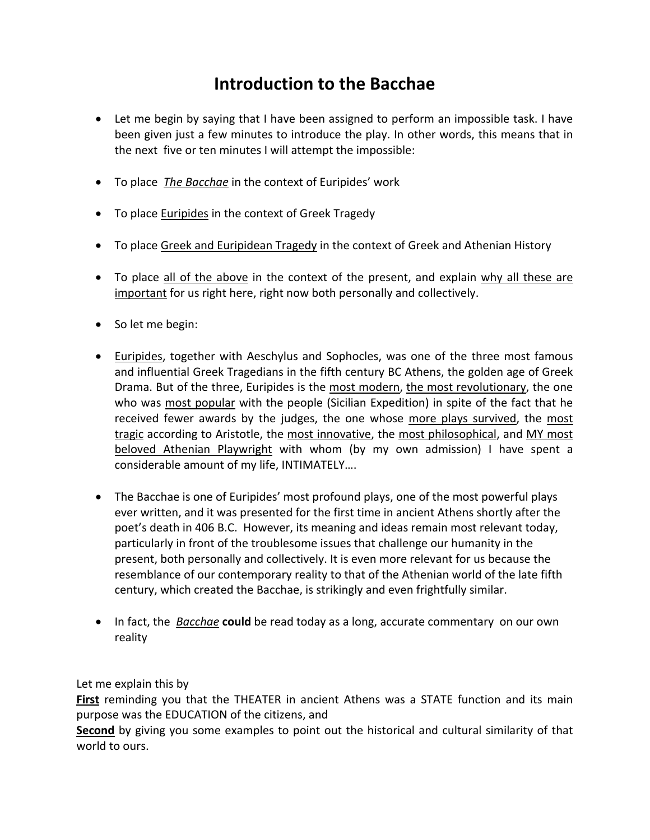## **Introduction to the Bacchae**

- Let me begin by saying that I have been assigned to perform an impossible task. I have been given just a few minutes to introduce the play. In other words, this means that in the next five or ten minutes I will attempt the impossible:
- To place *The Bacchae* in the context of Euripides' work
- To place **Euripides** in the context of Greek Tragedy
- To place Greek and Euripidean Tragedy in the context of Greek and Athenian History
- To place all of the above in the context of the present, and explain why all these are important for us right here, right now both personally and collectively.
- So let me begin:
- Euripides, together with Aeschylus and Sophocles, was one of the three most famous and influential Greek Tragedians in the fifth century BC Athens, the golden age of Greek Drama. But of the three, Euripides is the most modern, the most revolutionary, the one who was most popular with the people (Sicilian Expedition) in spite of the fact that he received fewer awards by the judges, the one whose more plays survived, the most tragic according to Aristotle, the most innovative, the most philosophical, and MY most beloved Athenian Playwright with whom (by my own admission) I have spent a considerable amount of my life, INTIMATELY….
- The Bacchae is one of Euripides' most profound plays, one of the most powerful plays ever written, and it was presented for the first time in ancient Athens shortly after the poet's death in 406 B.C. However, its meaning and ideas remain most relevant today, particularly in front of the troublesome issues that challenge our humanity in the present, both personally and collectively. It is even more relevant for us because the resemblance of our contemporary reality to that of the Athenian world of the late fifth century, which created the Bacchae, is strikingly and even frightfully similar.
- In fact, the *Bacchae* **could** be read today as a long, accurate commentary on our own reality

## Let me explain this by

**First** reminding you that the THEATER in ancient Athens was a STATE function and its main purpose was the EDUCATION of the citizens, and

**Second** by giving you some examples to point out the historical and cultural similarity of that world to ours.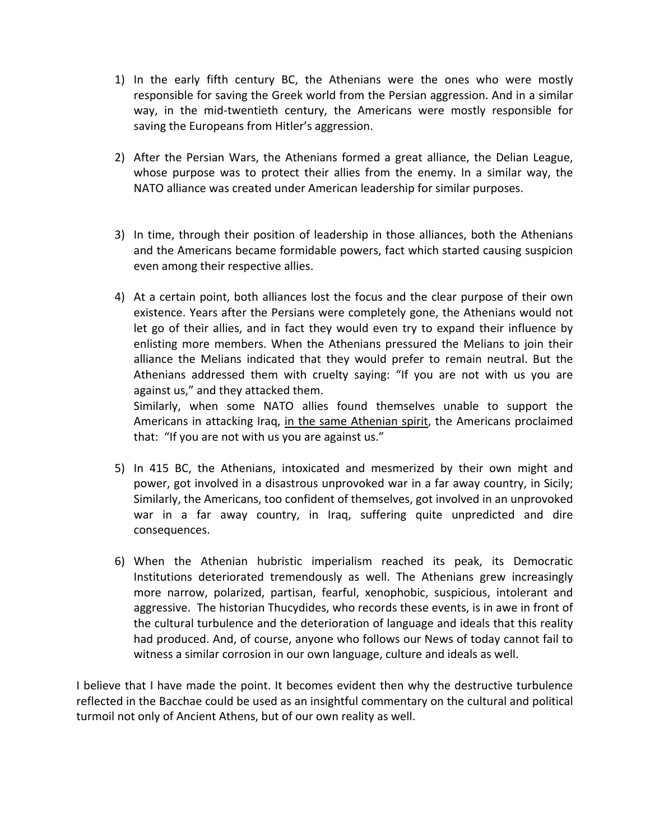- 1) In the early fifth century BC, the Athenians were the ones who were mostly responsible for saving the Greek world from the Persian aggression. And in a similar way, in the mid-twentieth century, the Americans were mostly responsible for saving the Europeans from Hitler's aggression.
- 2) After the Persian Wars, the Athenians formed a great alliance, the Delian League, whose purpose was to protect their allies from the enemy. In a similar way, the NATO alliance was created under American leadership for similar purposes.
- 3) In time, through their position of leadership in those alliances, both the Athenians and the Americans became formidable powers, fact which started causing suspicion even among their respective allies.
- 4) At a certain point, both alliances lost the focus and the clear purpose of their own existence. Years after the Persians were completely gone, the Athenians would not let go of their allies, and in fact they would even try to expand their influence by enlisting more members. When the Athenians pressured the Melians to join their alliance the Melians indicated that they would prefer to remain neutral. But the Athenians addressed them with cruelty saying: "If you are not with us you are against us," and they attacked them.

Similarly, when some NATO allies found themselves unable to support the Americans in attacking Iraq, in the same Athenian spirit, the Americans proclaimed that: "If you are not with us you are against us."

- 5) In 415 BC, the Athenians, intoxicated and mesmerized by their own might and power, got involved in a disastrous unprovoked war in a far away country, in Sicily; Similarly, the Americans, too confident of themselves, got involved in an unprovoked war in a far away country, in Iraq, suffering quite unpredicted and dire consequences.
- 6) When the Athenian hubristic imperialism reached its peak, its Democratic Institutions deteriorated tremendously as well. The Athenians grew increasingly more narrow, polarized, partisan, fearful, xenophobic, suspicious, intolerant and aggressive. The historian Thucydides, who records these events, is in awe in front of the cultural turbulence and the deterioration of language and ideals that this reality had produced. And, of course, anyone who follows our News of today cannot fail to witness a similar corrosion in our own language, culture and ideals as well.

I believe that I have made the point. It becomes evident then why the destructive turbulence reflected in the Bacchae could be used as an insightful commentary on the cultural and political turmoil not only of Ancient Athens, but of our own reality as well.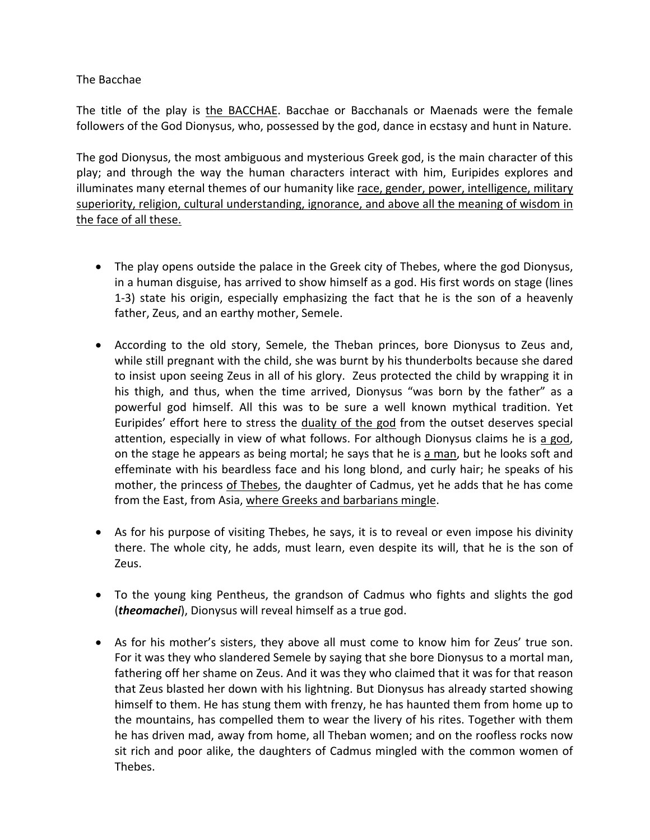The Bacchae

The title of the play is the BACCHAE. Bacchae or Bacchanals or Maenads were the female followers of the God Dionysus, who, possessed by the god, dance in ecstasy and hunt in Nature.

The god Dionysus, the most ambiguous and mysterious Greek god, is the main character of this play; and through the way the human characters interact with him, Euripides explores and illuminates many eternal themes of our humanity like race, gender, power, intelligence, military superiority, religion, cultural understanding, ignorance, and above all the meaning of wisdom in the face of all these.

- The play opens outside the palace in the Greek city of Thebes, where the god Dionysus, in a human disguise, has arrived to show himself as a god. His first words on stage (lines 1‐3) state his origin, especially emphasizing the fact that he is the son of a heavenly father, Zeus, and an earthy mother, Semele.
- According to the old story, Semele, the Theban princes, bore Dionysus to Zeus and, while still pregnant with the child, she was burnt by his thunderbolts because she dared to insist upon seeing Zeus in all of his glory. Zeus protected the child by wrapping it in his thigh, and thus, when the time arrived, Dionysus "was born by the father" as a powerful god himself. All this was to be sure a well known mythical tradition. Yet Euripides' effort here to stress the duality of the god from the outset deserves special attention, especially in view of what follows. For although Dionysus claims he is a god, on the stage he appears as being mortal; he says that he is a man, but he looks soft and effeminate with his beardless face and his long blond, and curly hair; he speaks of his mother, the princess of Thebes, the daughter of Cadmus, yet he adds that he has come from the East, from Asia, where Greeks and barbarians mingle.
- As for his purpose of visiting Thebes, he says, it is to reveal or even impose his divinity there. The whole city, he adds, must learn, even despite its will, that he is the son of Zeus.
- To the young king Pentheus, the grandson of Cadmus who fights and slights the god (*theomachei*), Dionysus will reveal himself as a true god.
- As for his mother's sisters, they above all must come to know him for Zeus' true son. For it was they who slandered Semele by saying that she bore Dionysus to a mortal man, fathering off her shame on Zeus. And it was they who claimed that it was for that reason that Zeus blasted her down with his lightning. But Dionysus has already started showing himself to them. He has stung them with frenzy, he has haunted them from home up to the mountains, has compelled them to wear the livery of his rites. Together with them he has driven mad, away from home, all Theban women; and on the roofless rocks now sit rich and poor alike, the daughters of Cadmus mingled with the common women of Thebes.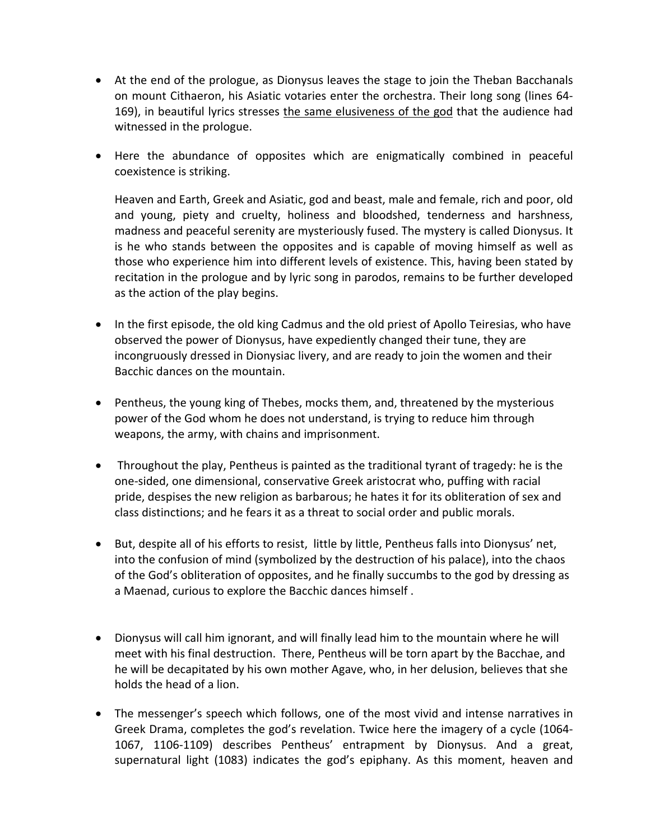- At the end of the prologue, as Dionysus leaves the stage to join the Theban Bacchanals on mount Cithaeron, his Asiatic votaries enter the orchestra. Their long song (lines 64‐ 169), in beautiful lyrics stresses the same elusiveness of the god that the audience had witnessed in the prologue.
- Here the abundance of opposites which are enigmatically combined in peaceful coexistence is striking.

Heaven and Earth, Greek and Asiatic, god and beast, male and female, rich and poor, old and young, piety and cruelty, holiness and bloodshed, tenderness and harshness, madness and peaceful serenity are mysteriously fused. The mystery is called Dionysus. It is he who stands between the opposites and is capable of moving himself as well as those who experience him into different levels of existence. This, having been stated by recitation in the prologue and by lyric song in parodos, remains to be further developed as the action of the play begins.

- In the first episode, the old king Cadmus and the old priest of Apollo Teiresias, who have observed the power of Dionysus, have expediently changed their tune, they are incongruously dressed in Dionysiac livery, and are ready to join the women and their Bacchic dances on the mountain.
- Pentheus, the young king of Thebes, mocks them, and, threatened by the mysterious power of the God whom he does not understand, is trying to reduce him through weapons, the army, with chains and imprisonment.
- Throughout the play, Pentheus is painted as the traditional tyrant of tragedy: he is the one‐sided, one dimensional, conservative Greek aristocrat who, puffing with racial pride, despises the new religion as barbarous; he hates it for its obliteration of sex and class distinctions; and he fears it as a threat to social order and public morals.
- But, despite all of his efforts to resist, little by little, Pentheus falls into Dionysus' net, into the confusion of mind (symbolized by the destruction of his palace), into the chaos of the God's obliteration of opposites, and he finally succumbs to the god by dressing as a Maenad, curious to explore the Bacchic dances himself .
- Dionysus will call him ignorant, and will finally lead him to the mountain where he will meet with his final destruction. There, Pentheus will be torn apart by the Bacchae, and he will be decapitated by his own mother Agave, who, in her delusion, believes that she holds the head of a lion.
- The messenger's speech which follows, one of the most vivid and intense narratives in Greek Drama, completes the god's revelation. Twice here the imagery of a cycle (1064‐ 1067, 1106‐1109) describes Pentheus' entrapment by Dionysus. And a great, supernatural light (1083) indicates the god's epiphany. As this moment, heaven and